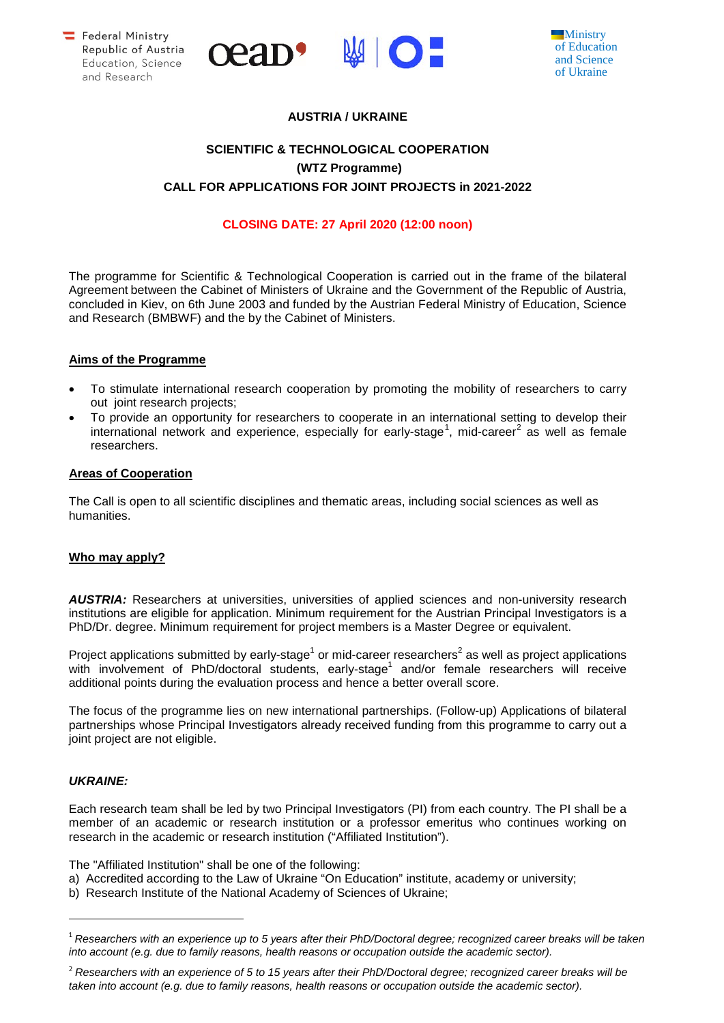



## **AUSTRIA / UKRAINE**

# **SCIENTIFIC & TECHNOLOGICAL COOPERATION (WTZ Programme) CALL FOR APPLICATIONS FOR JOINT PROJECTS in 2021-2022**

## **CLOSING DATE: 27 April 2020 (12:00 noon)**

The programme for Scientific & Technological Cooperation is carried out in the frame of the bilateral Agreement between the Cabinet of Ministers of Ukraine and the Government of the Republic of Austria, concluded in Kiev, on 6th June 2003 and funded by the Austrian Federal Ministry of Education, Science and Research (BMBWF) and the by the Cabinet of Ministers.

### **Aims of the Programme**

- To stimulate international research cooperation by promoting the mobility of researchers to carry out joint research projects;
- To provide an opportunity for researchers to cooperate in an international setting to develop their international network and experience, especially for early-stage<sup>[1](#page-0-0)</sup>, mid-career<sup>[2](#page-0-1)</sup> as well as female researchers.

### **Areas of Cooperation**

The Call is open to all scientific disciplines and thematic areas, including social sciences as well as humanities.

## **Who may apply?**

*AUSTRIA:* Researchers at universities, universities of applied sciences and non-university research institutions are eligible for application. Minimum requirement for the Austrian Principal Investigators is a PhD/Dr. degree. Minimum requirement for project members is a Master Degree or equivalent.

Project applications submitted by early-stage<sup>1</sup> or mid-career researchers<sup>2</sup> as well as project applications with involvement of PhD/doctoral students, early-stage<sup>1</sup> and/or female researchers will receive additional points during the evaluation process and hence a better overall score.

The focus of the programme lies on new international partnerships. (Follow-up) Applications of bilateral partnerships whose Principal Investigators already received funding from this programme to carry out a joint project are not eligible.

#### *UKRAINE:*

-

Each research team shall be led by two Principal Investigators (PI) from each country. The PI shall be a member of an academic or research institution or a professor emeritus who continues working on research in the academic or research institution ("Affiliated Institution").

The "Affiliated Institution" shall be one of the following:

- a) Accredited according to the Law of Ukraine "On Education" institute, academy or university;
- b) Research Institute of the National Academy of Sciences of Ukraine;

<span id="page-0-0"></span><sup>1</sup> *Researchers with an experience up to 5 years after their PhD/Doctoral degree; recognized career breaks will be taken into account (e.g. due to family reasons, health reasons or occupation outside the academic sector).*

<span id="page-0-1"></span><sup>2</sup> *Researchers with an experience of 5 to 15 years after their PhD/Doctoral degree; recognized career breaks will be taken into account (e.g. due to family reasons, health reasons or occupation outside the academic sector).*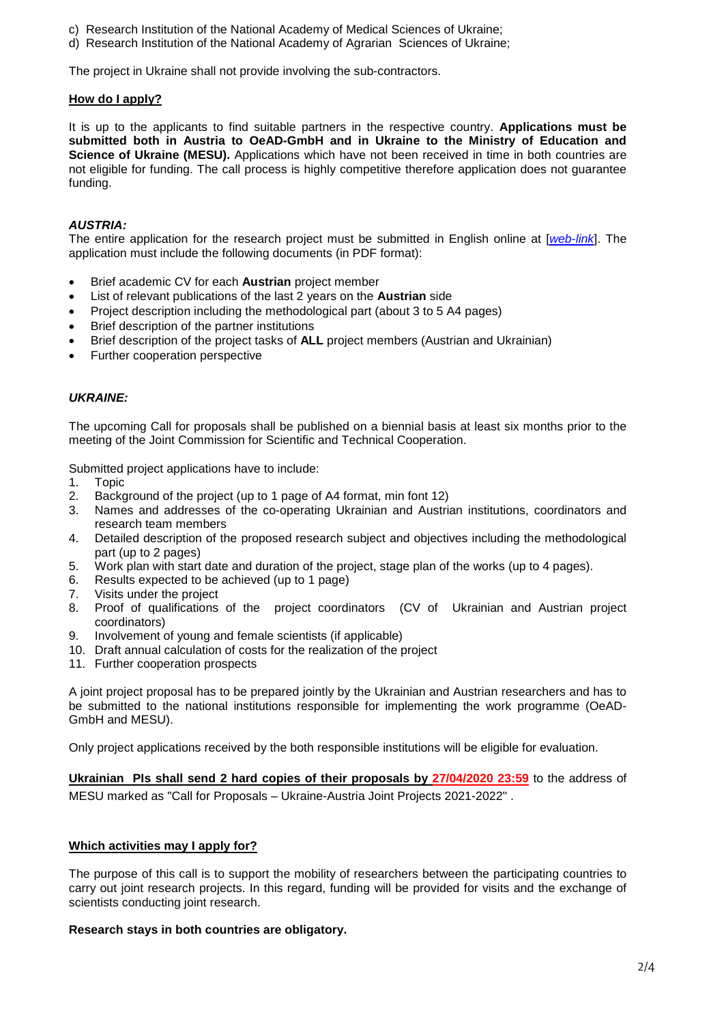- c) Research Institution of the National Academy of Medical Sciences of Ukraine;
- d) Research Institution of the National Academy of Agrarian Sciences of Ukraine;

The project in Ukraine shall not provide involving the sub-contractors.

## **How do I apply?**

It is up to the applicants to find suitable partners in the respective country. **Applications must be submitted both in Austria to OeAD-GmbH and in Ukraine to the Ministry of Education and Science of Ukraine (MESU).** Applications which have not been received in time in both countries are not eligible for funding. The call process is highly competitive therefore application does not guarantee funding.

### *AUSTRIA:*

The entire application for the research project must be submitted in English online at [*[web-link](https://asp.sop.co.at/oead/antrag?call=UKR2021)*]. The application must include the following documents (in PDF format):

- Brief academic CV for each **Austrian** project member
- List of relevant publications of the last 2 years on the **Austrian** side
- Project description including the methodological part (about 3 to 5 A4 pages)
- Brief description of the partner institutions
- Brief description of the project tasks of **ALL** project members (Austrian and Ukrainian)
- Further cooperation perspective

### *UKRAINE:*

The upcoming Call for proposals shall be published on a biennial basis at least six months prior to the meeting of the Joint Commission for Scientific and Technical Cooperation.

Submitted project applications have to include:

- 1. Topic
- Background of the project (up to 1 page of A4 format, min font 12)
- 3. Names and addresses of the co-operating Ukrainian and Austrian institutions, coordinators and research team members
- 4. Detailed description of the proposed research subject and objectives including the methodological part (up to 2 pages)
- 5. Work plan with start date and duration of the project, stage plan of the works (up to 4 pages).<br>6. Results expected to be achieved (up to 1 page)
- 6. Results expected to be achieved (up to 1 page)<br>7. Visits under the project
- 7. Visits under the project<br>8. Proof of qualifications
- 8. Proof of qualifications of the project coordinators (CV of Ukrainian and Austrian project coordinators)
- 9. Involvement of young and female scientists (if applicable)
- 10. Draft annual calculation of costs for the realization of the project
- 11. Further cooperation prospects

A joint project proposal has to be prepared jointly by the Ukrainian and Austrian researchers and has to be submitted to the national institutions responsible for implementing the work programme (OeAD-GmbH and MESU).

Only project applications received by the both responsible institutions will be eligible for evaluation.

**Ukrainian PIs shall send 2 hard copies of their proposals by 27/04/2020 23:59** to the address of MESU marked as "Call for Proposals – Ukraine-Austria Joint Projects 2021-2022" .

## **Which activities may I apply for?**

The purpose of this call is to support the mobility of researchers between the participating countries to carry out joint research projects. In this regard, funding will be provided for visits and the exchange of scientists conducting joint research.

#### **Research stays in both countries are obligatory.**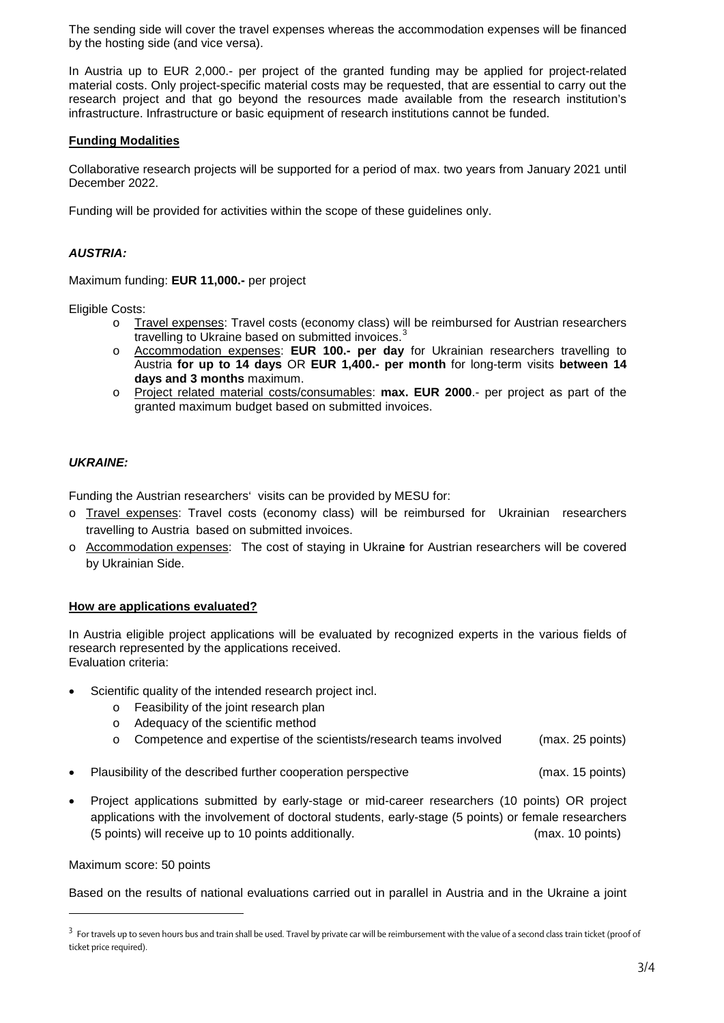The sending side will cover the travel expenses whereas the accommodation expenses will be financed by the hosting side (and vice versa).

In Austria up to EUR 2,000.- per project of the granted funding may be applied for project-related material costs. Only project-specific material costs may be requested, that are essential to carry out the research project and that go beyond the resources made available from the research institution's infrastructure. Infrastructure or basic equipment of research institutions cannot be funded.

## **Funding Modalities**

Collaborative research projects will be supported for a period of max. two years from January 2021 until December 2022.

Funding will be provided for activities within the scope of these guidelines only.

## *AUSTRIA:*

Maximum funding: **EUR 11,000.-** per project

Eligible Costs:

- o Travel expenses: Travel costs (economy class) will be reimbursed for Austrian researchers travelling to Ukraine based on submitted invoices.<sup>[3](#page-2-0)</sup>
- o Accommodation expenses: **EUR 100.- per day** for Ukrainian researchers travelling to Austria **for up to 14 days** OR **EUR 1,400.- per month** for long-term visits **between 14 days and 3 months** maximum.
- o Project related material costs/consumables: **max. EUR 2000**.- per project as part of the granted maximum budget based on submitted invoices.

## *UKRAINE:*

Funding the Austrian researchers' visits can be provided by MESU for:

- o Travel expenses: Travel costs (economy class) will be reimbursed for Ukrainian researchers travelling to Austria based on submitted invoices.
- o Accommodation expenses: The cost of staying in Ukrain**e** for Austrian researchers will be covered by Ukrainian Side.

## **How are applications evaluated?**

In Austria eligible project applications will be evaluated by recognized experts in the various fields of research represented by the applications received. Evaluation criteria:

- Scientific quality of the intended research project incl.
	- o Feasibility of the joint research plan
	- o Adequacy of the scientific method
	- o Competence and expertise of the scientists/research teams involved (max. 25 points)
- Plausibility of the described further cooperation perspective (max. 15 points)
- Project applications submitted by early-stage or mid-career researchers (10 points) OR project applications with the involvement of doctoral students, early-stage (5 points) or female researchers (5 points) will receive up to 10 points additionally. (max. 10 points)

Maximum score: 50 points

l,

Based on the results of national evaluations carried out in parallel in Austria and in the Ukraine a joint

<span id="page-2-0"></span><sup>&</sup>lt;sup>3</sup> For travels up to seven hours bus and train shall be used. Travel by private car will be reimbursement with the value of a second class train ticket (proof of ticket price required).